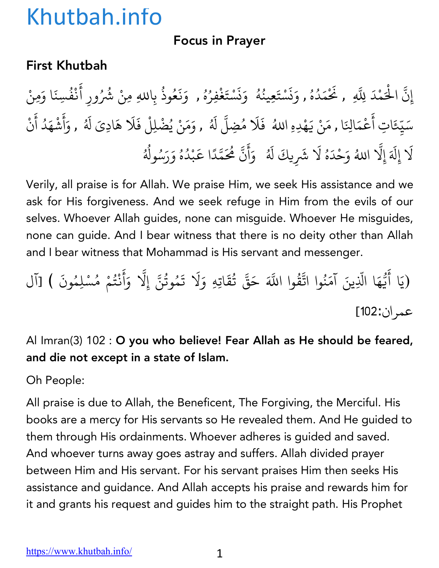#### Focus in Prayer

#### First Khutbah

إِنَّ الْحَمْدَ لِلَّهِ , نَحْمَدُهُ , وَنَسْتَعِينُهُ ۚ وَنَسْتَغْفِرُهُ , وَنَعُوذُ بِاللهِ مِنْ شُرُ ِّ بِهِ ا ؚ<br>ؚ ्<br>। ز **∶** <u>ّ</u> ُ ∫<br>່ **∶** ز **∶** <u>ّ</u> ؚ<br>: ِّ بِ المستقبل المستقبل المستقبل المستقبل المستقبل المستقبل المستقبل المستقبل المستقبل المستقبل المستقبل المستقبل ال<br>والمستقبل المستقبل المستقبل المستقبل المستقبل المستقبل المستقبل المستقبل المستقبل المستقبل المستقبل المستقبل ا **∶ ∶** ∫<br>∫ بِاللهِ مِنْ شُرُورِ أَنْفُسِنَا وَمِنْ ់<br>: ْ ُ سَيِّعَاتِ أَعْمَالِنَا , مَنْ يَهْدِهِ اللهُ ۖ فَلَا مُضِلَّ لَهُ , وَمَنْ يُضْلِلْ فَلَا هَادِيَ لَهُ , وَأَشْهَدُ أَنْ ֺ<u>֓</u> ֧֦֧֝<u>֘</u> **∶** ْ **∶ ∶** ا<br>ا **∶** ا<br>ا **∶** أ **∶** ْ **∶** ْ لَا إِلَهَ إِلَّا اللهُ وَحْدَهُ لَا شَرِيكَ لَهُ ۚ وَأَنَّ هُٰحَمَّدًا عَبْدُهُ وَرَسُولُهُ **∶** ֧֖֧֦֧֖֚֚֚֝֝֝֬<br>֧֚֚֝ ∫<br>່ **∶ │** ्<br>। ا<br>المسلمانية<br>المسلمانية **∶** أ َ ֧֧֦֧֦֧֦֧֚֝֝֜*֟* ֧֦֧֝<u>֘</u> َْ ُ ُ ُ ∫<br>≀

Verily, all praise is for Allah. We praise Him, we seek His assistance and we ask for His forgiveness. And we seek refuge in Him from the evils of our selves. Whoever Allah guides, none can misguide. Whoever He misguides, none can guide. And I bear witness that there is no deity other than Allah and I bear witness that Mohammad is His servant and messenger.

.<br>(يَا أَيُّهَا الَّذِينَ آمَنُوا اتَّقُّ ैं।<br>। .<br>י **∶** ֧֧֡֓֝֟֓֝֟֟֓֝֬֝֟֓֝֬֝֬֝֟<u>֓</u> ُ ্র<br>ব وا اللَّهَ حَقَّ تُقَاتِهِ وَلَا تَمُوتُنَّ إِلَّا وَأَنْتُمْ مُسْلِمُونَ ) [آل ُ **∶** المستقبل المستقبل المستقبل المستقبل المستقبل المستقبل المستقبل المستقبل المستقبل المستقبل المستقبل المستقبل ال<br>والمستقبل المستقبل المستقبل المستقبل المستقبل المستقبل المستقبل المستقبل المستقبل المستقبل المستقبل المستقبل ا ֧֖֧֦֦֧֦֧ׅ֧֪֖֧֚֚֚֚֝֝֜֓֓֝֬֝֝֬<br>֧֖֚֚֚֚֚֚֚֚֚֚֚֚֝ **∶** ै<br>। ْ المستقبل المستقبل المستقبل المستقبل المستقبل المستقبل المستقبل المستقبل المستقبل المستقبل المستقبل المستقبل ال<br>والمستقبل المستقبل المستقبل المستقبل المستقبل المستقبل المستقبل المستقبل المستقبل المستقبل المستقبل المستقبل ا عمران:102]

Al Imran(3) 102 : O you who believe! Fear Allah as He should be feared, and die not except in a state of Islam.

Oh People:

All praise is due to Allah, the Beneficent, The Forgiving, the Merciful. His books are a mercy for His servants so He revealed them. And He guided to them through His ordainments. Whoever adheres is guided and saved. And whoever turns away goes astray and suffers. Allah divided prayer between Him and His servant. For his servant praises Him then seeks His assistance and guidance. And Allah accepts his praise and rewards him for it and grants his request and guides him to the straight path. His Prophet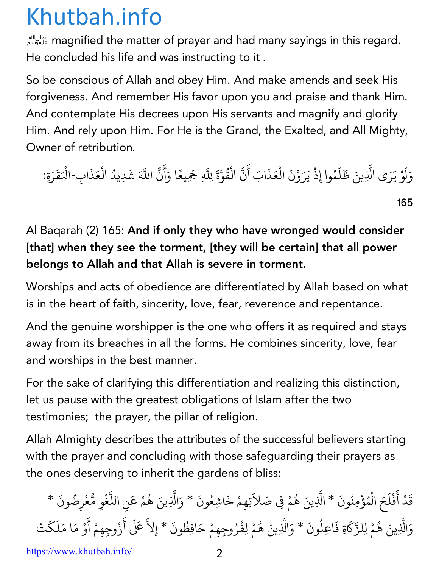الله magnified the matter of prayer and had many sayings in this regard. He concluded his life and was instructing to it .

So be conscious of Allah and obey Him. And make amends and seek His forgiveness. And remember His favor upon you and praise and thank Him. And contemplate His decrees upon His servants and magnify and glorify Him. And rely upon Him. For He is the Grand, the Exalted, and All Mighty, Owner of retribution.

وَلَوْ يَرَى الَّذِينَ ظَلَمُوا إِذْ يَرَوْنَ الْعَذَابَ أَنَّ الْقُوَّةَ لِلَّهِ جَمِيعًا وَأَنَّ **∶** ل **∶** ्<br>। ֧֧֧֧֧֧֧֧֧֝֟֟֓֝֟֟֟֓֝֬֝֟֓֝֬֝֟֓֝֬֝֬֝֬֝֬֝֬֝֟֓֝֬֝֟֓֟֬֝֬֝֓֟֬֝֬֝֓֟֟ **่ ∶** ्<br>। ْ ैं।<br>। ْ ُ ֧֧֧֪֦֧֪֧֝֟֟֓֝֟֟֟֟֟֟֟֟֟֓֝֟֟֟֟֟֬֟֟֟֟֝֬֟֟֩֕֟֟֟<br>֧֧֧֧֪֧֝֟֩֝֟֟֟֜֝֟֟֟֝֬֟֟ ّ ֧֦֖֦֦֦֧֦֧֦֧֧֦֧֧ׅ֧֦֧ׅ֧֧֧֧֧ׅ֧֧֧֧֧ׅ֧֧֧֧֧֧֧֧֧֧֧֧֧֚֝֟֓֝֝֬֝֝֬֝֓֝֬֝֓֝֬֝֓֝֬֝֓֝֬֜֓֜֓֓֝֬֜֓֜֓֝֬֓֜֓֝֬<br>֧֧֧֧֧֧֧֧֧֧֧֧֧֧֪֧֧֧֪֧֜֜֜֜ ्<br>। أ **∶** ֧֧֦֖֖֖֖֖֧֖֖֧֧֖֧֖֧֧ׅ֧֧֧֧ׅ֧֚֚֚֚֚֚֚֚֚֚֚֚֚֝֝֬֝֝֓֝֬֝֬֝֓֬֜֓֬֝֬֓֝֬֜֝֬֜֓֬֝֬ ়<br>ব اللَّهَ شَدِيدُ الْعَذَابِ-الْبَقَرَةِ: ْ ْ ै।<br>। 165

#### Al Baqarah (2) 165: And if only they who have wronged would consider [that] when they see the torment, [they will be certain] that all power belongs to Allah and that Allah is severe in torment.

Worships and acts of obedience are differentiated by Allah based on what is in the heart of faith, sincerity, love, fear, reverence and repentance.

And the genuine worshipper is the one who offers it as required and stays away from its breaches in all the forms. He combines sincerity, love, fear and worships in the best manner.

For the sake of clarifying this differentiation and realizing this distinction, let us pause with the greatest obligations of Islam after the two testimonies; the prayer, the pillar of religion.

Allah Almighty describes the attributes of the successful believers starting with the prayer and concluding with those safeguarding their prayers as the ones deserving to inherit the gardens of bliss:

قَدْ أَفْلَحَ الْمُؤْمِنُونَ \* الَّذِينَ هُمْ فِي صَلاَتِهِمْ خَاشِعُونَ \* وَالَّذِينَ هُمْ عَنِ اللَّغْوِ مُّعْرِضُونَ \*  $\ddot{\phantom{0}}$ **∶** *CONTRACTOR COMMUNICATION* **∶** *CONTRACTOR COMMUNICATION* ֧֧֦֧֦֧֦֧֦֧֧֧֦֧֦֧֝֟֟֓֟֟֟֟֟֟֓֝֟֟֓֝֬֟֟֓֝֬֝֟֓֟֟֓֟֟֓֝֬֟֜<br>֧֧֧֝֟֜֝֟ ∫<br>≀ **∶** ֧֦֧֧֦֧֧֝֟֟֟֓֟֟֟֟֟֟֟֟֟֟֓֡֬֟֟֟֟֟֬֟֟֟֟֬֝֟֟֩֕֟֟֟֬֝֟֟֟֬֝֬֟<br>֧֧֧֧֝֟֩֝֟֜֝֬֟ ∫<br>≀ ֧֧֦֖֖֖֖֖֖֖֖֧֧֚֚֚֚֚֚֚֚֚֚֚֝֝֬֝֝֓֝֬֝֟֓֬֝֬֝֓֬֝֬֝֓֬֝֬֓֬֝֓֬֝֓֬֝֓֬֝֬ *CONTRACTOR COMMUNICATION* **.** ١. المستقبل المستقبل المستقبل المستقبل المستقبل المستقبل المستقبل المستقبل المستقبل المستقبل المستقبل ا وَالَّذِينَ هُمْ لِلزَّكَاةِ فَاعِلُونَ \* وَالَّذِينَ هُمْ لِفُرُوجِهِمْ حَافِظُونَ \* إِلاَّ عَلَى ֧֧֦֧֦֪֪֦֧֦֧֦֧֦֪֧֝֟֟֓֟֟֟֟֟֟֟֟֟֟֬֟֓֟֟֓֟֬֟֓֟֬֟֟֟֬֝֟֟֩֬֝֟֟֬<br>֧֧֧֝֟֩ ؚ<br>ۣ ُ ֧֧֧֧֧֧֪֧֝֟֟֓֝֟֟֓֝֬֝֟֓֝֬֝֬֝֟֓֝֬֟֓֝֬֝֬֝֟֓֬֝֬֝֓֟֬֝֬֝֬֟֝֬<br>֧֧֧֖֖֧֚֚֚֚֚֚֝֟֩֝֬֝<br>֧֝ المسلم<br>المسلمات ُ ُ ∫<br>≀ أ **∶** ِ<br>زُوجِهِمْ أَوْ مَا مَلَكَتْ ै।<br>। ै।<br>। **∶** المبادل المسابق المسابق المسابق المسابق المسابق المسابق المسابق المسابق المسابق المسابق المسابق المسابق المساب<br>المسابق المسابق المسابق المسابق المسابق المسابق المسابق المسابق المسابق المسابق المسابق المسابق المسابق المساب

https://www.khutbah.info/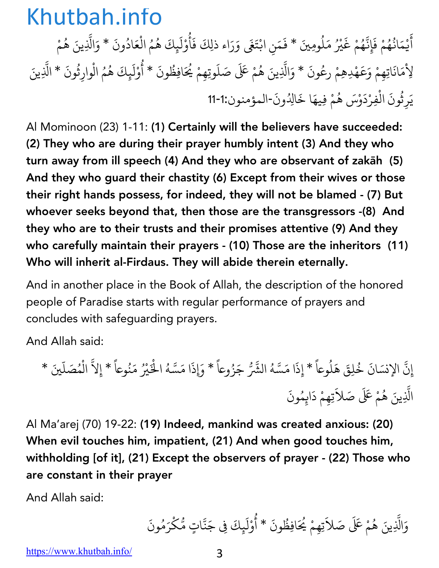أَيْمَانُهُمْ فَإِنَّهُمْ غَيْرُ مَلُومِينَ \* فَمَنِ ابْتَغَى وَرَاء ذلِكَ فَأُوْلَيِكَ هُمُ الْعَادُونَ \* وَالَّذِينَ هُمْ **∶** *CONTRACTOR COMMUNICATION* ُ ُ **│** ֧֪֧֦֪֧֦֪֪֧֝֟֟֟֟֟֟֟֟֟֟֟֟֟֟֟֟֟֟֟֟֟֟֟֟֟֟֟֬֟֟֟֟<br>֧֧֪֪֪֧֝֟֝֟<sup>֟</sup> ِّ بِ **∶** ُ ्<br>। *CONTRACTOR COMMUNICATION* **ृ** ُ *CONTRACTOR COMMUNICATION* ै।<br>। ا<br>ا ْ ُ ;<br>; ؚ<br>ؚ ْ لِأَمَانَاتِهِمْ وَعَهْدِهِمْ رِعُونَ \* وَالَّذِينَ هُمْ عَلَى صَلَوتِهِمْ يُحَافِظُونَ \* أُوْلَيِكَ هُمُ الْوارِثُونَ \* الَّذِينَ َ ؚ<br>ۣ **.** ُ ∫<br>≀ ُ **∶** ُ **ृ** ֧֧֦֖֖֖֖֖֖֖֖֖֧֚֚֚֚֚֚֚֚֚֚֚֝֝֬֝<u>֓</u><br>֧֧֝֟֩ **│** يَرِثُونَ الْفِرْدَوْسَ هُمْ فِيهَا خَالِدُونَ-المؤمنون:1-11 **∶** ُ *CONTRACTOR COMMUNICATION* ै।<br>। ؚ<br>ۣ

Al Mominoon (23) 1-11: (1) Certainly will the believers have succeeded: (2) They who are during their prayer humbly intent (3) And they who turn away from ill speech (4) And they who are observant of zakāh (5) And they who guard their chastity (6) Except from their wives or those their right hands possess, for indeed, they will not be blamed - (7) But whoever seeks beyond that, then those are the transgressors -(8) And they who are to their trusts and their promises attentive (9) And they who carefully maintain their prayers - (10) Those are the inheritors (11) Who will inherit al-Firdaus. They will abide therein eternally.

And in another place in the Book of Allah, the description of the honored people of Paradise starts with regular performance of prayers and concludes with safeguarding prayers.

And Allah said:

إِنَّ الإِنسَانَ خُلِقَ هَلُوعاً \* إِذَا مَسَّهُ الشَّرُّ جَزُوعاً \* وَإِذَا مَسَّهُ الْخَيْرُ مَنُوعاً \* إِلاَّ الْمُصَلّينَ \* ∫<br>∫ ֺ<u>֓</u> **المنابع** ֧֧֖֖֖֖֖֧֧֚֚֚֚֚֚֚֚֚֚֚֚֚֝֝֝֝֝֝֝֝֝֬֝֓֝֬֝֬֝֓֝֬֝֬֝֓֬ **المنابع** ֧֦֧֦֧֦֧֦֧֦֧֦֧֦֧֦֧֧֦֧֧֧֧֧֦֧֝֟֟֓֝֟֓֝֝֬֝֝֬֝֬֝֬֝֓֜֜֜֜ ؚ<br>ۣ **∶** ً ֧֧֧֦֧֪֦֧֝֟֟֓֝֟֟֟֟֓֝֬֟֓֝֬֟֟֜<sup>֟</sup>֓ ֦֧֧֧֦֧֦֧֦֧֦֧֦֧֦֧֦֧֦֧֦֧֦֧֧֦֧֦֧֦֧֦֧֘֟֓֡֬֟֓֡֬֟֩֓֓֝֬֟֓֡֬֓֬֓֞<br>֧֧ المسلم<br>المسلمات الَّذِينَ هُمْ عَلَى صَلاَتِهِمْ دَايِمُونَ ّ ∫<br>≀ **∶ ∶ ∶** 

Al Ma'arej (70) 19-22: (19) Indeed, mankind was created anxious: (20) When evil touches him, impatient, (21) And when good touches him, withholding [of it], (21) Except the observers of prayer - (22) Those who are constant in their prayer

And Allah said:

وَالَّذِينَ هُمْ عَلَى صَلاَتِهِمْ يُحَافِظُونَ \* أُوْلَيِكَ فِي جَنَّاتٍ مُّكْرَمُونَ ;<br>; المسلم<br>المسلمات ै।<br>। ∫<br>∫ ُ ْ **∶** ់<br>**:** ֧֖֧֦֦֧֦֧֦֖֚֚֚֝֝֝֬ ؚ<br>ؙ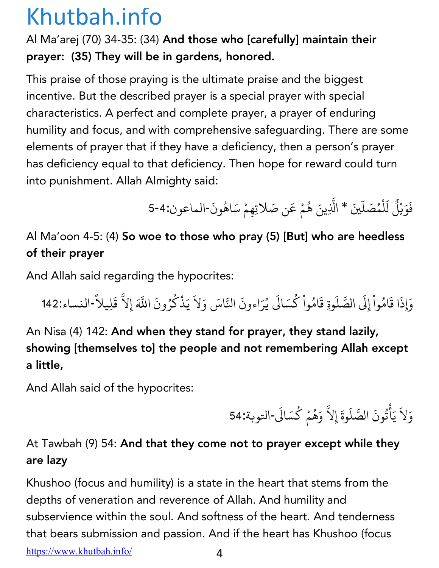#### Al Ma'arej (70) 34-35: (34) And those who [carefully] maintain their prayer: (35) They will be in gardens, honored.

This praise of those praying is the ultimate praise and the biggest incentive. But the described prayer is a special prayer with special characteristics. A perfect and complete prayer, a prayer of enduring humility and focus, and with comprehensive safeguarding. There are some elements of prayer that if they have a deficiency, then a person's prayer has deficiency equal to that deficiency. Then hope for reward could turn into punishment. Allah Almighty said:

> فَوَيْلُ لّلْمُصَلّينَ \* الَّذِينَ هُمْ عَن صَلاتِهِمْ سَاهُونَ-الماعون:4-5 **∶** ्<br>। .<br>ا المسلم<br>السياسي ֧֧֧֪֦֧֧֝֟֟֓֝֟֟֟֓֝֟֓֝֬֝֟֓֝֟֟֜<br>֧֧֪֪֪֪֪֪֪֝֟֩֝֟֟֟֟֟֟֟֟֬֟֟֜֟֜֝֬֝֟֝֬֝֟֝֬֝֬֝֟֝֬֝֟֝֬֝֬֝֬ المسلم<br>المسلمان ُ

### Al Ma'oon 4-5: (4) So woe to those who pray (5) [But] who are heedless of their prayer

And Allah said regarding the hypocrites:

وَإِذَا قَامُواْ إِلَى الصَّلَوةِ قَامُواْ كُسَالَى يُرَاءونَ النَّاسَ وَلاَ يَذْكُرُونَ اللَّهَ إِلاَّ قَلِيلاً-النساء:142 *CONTRACTOR COMMUNICATION* ؚ<br>ا ِّ بِ ֦֧֦֧֦֧֦֧֦֧֦֧֦֧֦֧֚֝֝֝֝֬<br>֧֪֧֧֖֚֝֝֬֝֬**֟ ∶** *CONTRACTOR COMMUNICATION* ∫<br>∫ ֧֧֧֖֖֧֚֚֚֚֝֟֟֓֝֟֟֓֝֬֝<br>֧֧֧֧֧֧֧֧֧֚֚֚֚֚֚֚֚֚֚֚֚֚֚֚֚֚֚֚֚֚֚֚֝֝֝֬֝֬֝֬֝֬֝֬ ا<br>الماضية<br>الماضية

An Nisa (4) 142: And when they stand for prayer, they stand lazily, showing [themselves to] the people and not remembering Allah except a little,

And Allah said of the hypocrites:

وَلاَ يَأْتُونَ الصَّلَوةَ إِلاَّ وَهُمْ كُسَالَى-التوبة:54 **∶** ै।<br>। ؚ<br>ׇׇ֧֡֟<br>֧<u>֚</u> ُ ै।<br>। ֧֧֧֖֚֚֝֟֟֓֝֟֟֓֝֬<br>֧֧֧֧֧֧֚֚֚֚֚֚֚֚֚֚֚֚֚֚֚֚֚֚֚֚֚֚֚֝֝֟֓֝֬֝֬֝֬֝֬ ∫<br>≀ ِ<br>ا

#### At Tawbah (9) 54: And that they come not to prayer except while they are lazy

https://www.khutbah.info/ 4 Khushoo (focus and humility) is a state in the heart that stems from the depths of veneration and reverence of Allah. And humility and subservience within the soul. And softness of the heart. And tenderness that bears submission and passion. And if the heart has Khushoo (focus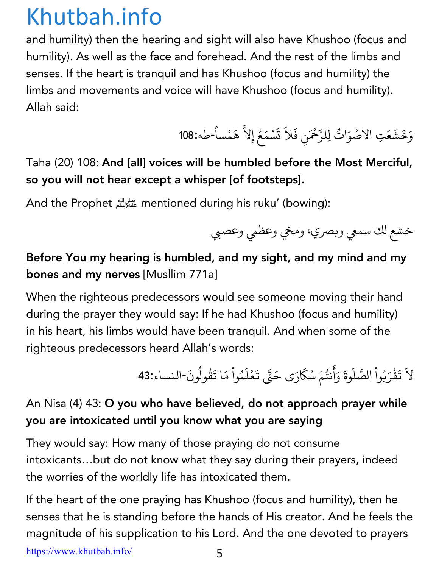and humility) then the hearing and sight will also have Khushoo (focus and humility). As well as the face and forehead. And the rest of the limbs and senses. If the heart is tranquil and has Khushoo (focus and humility) the limbs and movements and voice will have Khushoo (focus and humility). Allah said:

> وَخَشَعَتِ الاصْوَاتُ لِلرَّحْمَنِ فَلاَ تَسْمَعُ إِلاَّ هَمْساً-طه:108 ِ<br>ا  $\ddot{\phantom{a}}$ ت **∶** ֧֧֖֖֚֚֚֝֟֟֓֝֟֟֓֬<br>֧֚֚֝<br>֖֖֖֖֖֖֖֖֖֖֖֖֚֚֚֚֚֚֚֚֚֚֚֚֚֝֝֝֝֝֝<br>֧ ؚ<br>ؚ **ا**<br>ا

Taha (20) 108: And [all] voices will be humbled before the Most Merciful, so you will not hear except a whisper [of footsteps].

And the Prophet !mentioned during his ruku' (bowing):

خشع لك سمعي وبصري، ومخي وعظمي وعصبي

#### Before You my hearing is humbled, and my sight, and my mind and my bones and my nerves [Musllim 771a]

When the righteous predecessors would see someone moving their hand during the prayer they would say: If he had Khushoo (focus and humility) in his heart, his limbs would have been tranquil. And when some of the righteous predecessors heard Allah's words:

> لاَ تَقْرَبُواْ الصَّلَوةَ وَأَنتُمْ سُكَارَى حَتَّى تَعْلَمُواْ مَا تَقُولُونَ-النساء:43 ै।<br>। ै।<br>। ֦֧֦֧֘֟֟֓֡֬֟֟֩֬֝֟ **│ ∶ ∶** أ **∶** ُ َ **∶** ْ ै।<br>। *CONTRACTOR COMMUNICATION*  $\ddot{\phantom{a}}$ ؚ<br>ۣ

#### An Nisa (4) 43: O you who have believed, do not approach prayer while you are intoxicated until you know what you are saying

They would say: How many of those praying do not consume intoxicants…but do not know what they say during their prayers, indeed the worries of the worldly life has intoxicated them.

https://www.khutbah.info/ 5 If the heart of the one praying has Khushoo (focus and humility), then he senses that he is standing before the hands of His creator. And he feels the magnitude of his supplication to his Lord. And the one devoted to prayers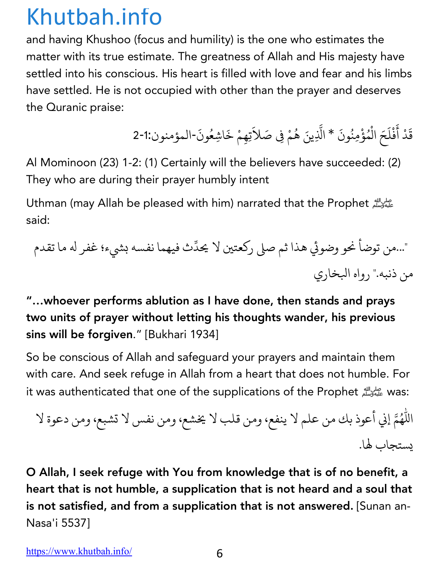and having Khushoo (focus and humility) is the one who estimates the matter with its true estimate. The greatness of Allah and His majesty have settled into his conscious. His heart is filled with love and fear and his limbs have settled. He is not occupied with other than the prayer and deserves the Quranic praise:

> قَدْ أَفْلَحَ الْمُؤْمِنُونَ \* الَّذِينَ هُمْ فِي صَلاَتِهِمْ خَاشِعُونَ-المؤمنون:1-2 **∶** ैं।<br>। *CONTRACTOR COMMUNICATION* **∶** *CONTRACTOR COMMUNICATION* **:** ∫<br>≀ َ

Al Mominoon (23) 1-2: (1) Certainly will the believers have succeeded: (2) They who are during their prayer humbly intent

Uthman (may Allah be pleased with him) narrated that the Prophet العليه وسلم الله said:

֧֦֧֦֧֦֧֦֧֦֧֝֝<u>֓</u> "...من توضاً نحو وضوئي هذا ثم صلى ركعتين لا يحدِّث فيهما نفسه بشيء؛ غفر له ما تقدم من ذنبه." رواه البخاري

"…whoever performs ablution as I have done, then stands and prays two units of prayer without letting his thoughts wander, his previous sins will be forgiven." [Bukhari 1934]

So be conscious of Allah and safeguard your prayers and maintain them with care. And seek refuge in Allah from a heart that does not humble. For it was authenticated that one of the supplications of the Prophet عليه وسلم it was authenticated that one of the

لا eإ وعأ ذ كب نم ملع لا ،عفني نمو بلق لا ،عشي نمو سفن لا ،عبشت نمو ةوعد لا باجتسي ال .

O Allah, I seek refuge with You from knowledge that is of no benefit, a heart that is not humble, a supplication that is not heard and a soul that is not satisfied, and from a supplication that is not answered. [Sunan an-Nasa'i 5537]

https://www.khutbah.info/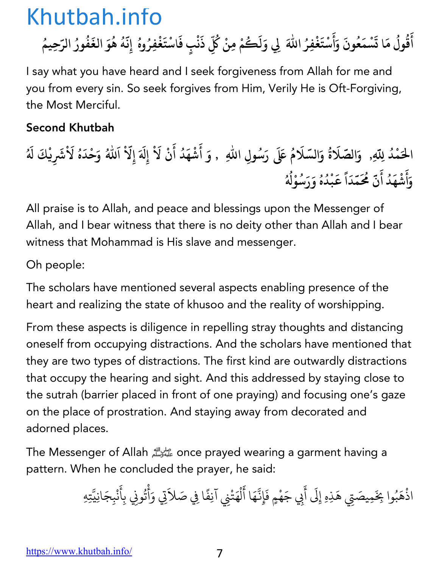أَقُولُ مَا تَسْمَعُونَ وَأَسْتَغْفِرُ اللّٰهَ لِي وَلَكُمْ مِنْ كُلِّ ذَنْبٍ فَاسْتَغْفِرُوهُ إِنَّهُ هُوَ الغَفُورُ الرّحِيمُ **َ ُ ُ َ َ ُ َ َ ْ َ َُ ُ ِ َ ْ َ ُ َّ ُ ُ َ ُ ُ ُ**

I say what you have heard and I seek forgiveness from Allah for me and you from every sin. So seek forgives from Him, Verily He is Oft-Forgiving, the Most Merciful.

#### Second Khutbah

الْحَمْدُ لِلّهِ, ۚ وَالصَّلَاةُ وَالسَّلَامُ عَلَى رَسُولِ اللّهِ ۚ , وَ أَشْهَدُ أَنْ لَاْ إِلَهَ إِلّاْ اَللهُ وَحْدَهُ لَاْشَرِيْكَ لَهُ **And the contract of the contract of the contract of the contract of the contract of the contract of the contract of the contract of the contract of the contract of the contract of the contract of the contract of the contr ُ َ ُ َ ُ َ ْ َ َ َ َ ُ َ َ َ ُ و أ ش ه د أ ن م َّ َُ َ َ ْ َ ُ َ م د ق ب د ه و ر َ س َ و ْ W َّ َ ا ً َ ْ ُ ُ ُ ُ ُ**

All praise is to Allah, and peace and blessings upon the Messenger of Allah, and I bear witness that there is no deity other than Allah and I bear witness that Mohammad is His slave and messenger.

Oh people:

The scholars have mentioned several aspects enabling presence of the heart and realizing the state of khusoo and the reality of worshipping.

From these aspects is diligence in repelling stray thoughts and distancing oneself from occupying distractions. And the scholars have mentioned that they are two types of distractions. The first kind are outwardly distractions that occupy the hearing and sight. And this addressed by staying close to the sutrah (barrier placed in front of one praying) and focusing one's gaze on the place of prostration. And staying away from decorated and adorned places.

The Messenger of Allah على الله once prayed wearing a garment having a pattern. When he concluded the prayer, he said:

> اذْهَبُوا بِخَمِيصَتِي هَذِهِ إِلَى أَبِي جَهْمٍ فَإِنَّهَا أَلْهَتْنِي آنِفًا فِي صَلاَتِي وَأْتُونِي بِأَنْبِجَانِيَّتِهِ الم المسلم المسلم المسلم المسلم المسلم المسلم المسلم المسلم المسلم المسلم المسلم المسلم المسلم المس<br>المسلم المسلم المسلم المسلم المسلم المسلم المسلم المسلم المسلم المسلم المسلم المسلم المسلم المسلم المسلم المسل<br>المسلم الم ؚ<br>֪֧֡֡֟֟֟֟֟֟֟֟֟֟֟֟֟֟֟֟֟֟֟֟֟֟֡֡<sup>֟</sup> ै।<br>। َ **∶** Ç ै।<br>। ل **∶** ै।<br>। ْ **∶**  $\ddot{\phantom{a}}$ *CONTRACTOR COMMUNICATION* Ç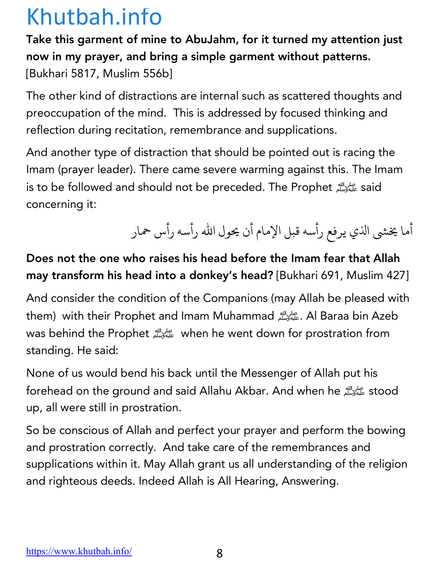Take this garment of mine to AbuJahm, for it turned my attention just now in my prayer, and bring a simple garment without patterns. [Bukhari 5817, Muslim 556b]

The other kind of distractions are internal such as scattered thoughts and preoccupation of the mind. This is addressed by focused thinking and reflection during recitation, remembrance and supplications.

And another type of distraction that should be pointed out is racing the Imam (prayer leader). There came severe warming against this. The Imam is to be followed and should not be preceded. The Prophet عليه بالله is to be followed and should not be preceded. The Prophet concerning it:

أما يخشى الذي يرفع رأسه قبل الإمام أن يحول الله رأسه رأس حمار

#### Does not the one who raises his head before the Imam fear that Allah may transform his head into a donkey's head? [Bukhari 691, Muslim 427]

And consider the condition of the Companions (may Allah be pleased with them) with their Prophet and Imam Muhammad الصلي الله عليه وسلم عليه الله عليه وسلم عليه السلم عليه السلم عن ا was behind the Prophet الصحيح الله when he went down for prostration from standing. He said:

None of us would bend his back until the Messenger of Allah put his forehead on the ground and said Allahu Akbar. And when he up, all were still in prostration.

So be conscious of Allah and perfect your prayer and perform the bowing and prostration correctly. And take care of the remembrances and supplications within it. May Allah grant us all understanding of the religion and righteous deeds. Indeed Allah is All Hearing, Answering.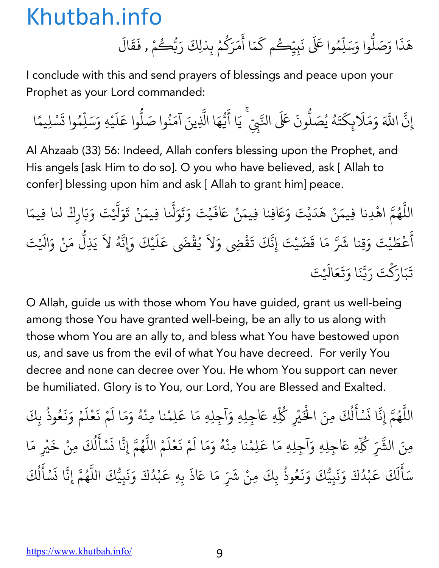هَذَا وَصَلُّوا وَسَلِّهُ ֧֪֪֦֧֦֧֦֪֦֧֝֟֟֟֟֟֟֟֟֟֟֟֟֟֟֟֬֟֟֟֟֟֬֟֟֟֟֬֟֟֟֟֟֟֟֟֬֟֟֩֕֬֟<br>֧֧֪֝֟֩֝֟֟֝֬֟ ֧֦֧֝<u>֘</u> وا عَلَى نَبِيِّكُم كَمَا أَمَرَكُمْ بِذلِكَ رَبُّكُ **∶** َ  $\ddot{\phantom{a}}$ ∫<br>∫ **∶** ر<br>گ ِ<br>مْ , فَقَالَ **∶ ∶** 

I conclude with this and send prayers of blessings and peace upon your Prophet as your Lord commanded:

إِن ֪֪֦֡֡֟֓֟֓֝֟֟֓֝֬֝֟֓֝֬֝֟֓֝֬֝֟**֟** ्<br>द اللَّهَ وَمَلَابِكَتَهُ يُصَلُّونَ عَلَى النَّبِيِّ ۚ يَا أَيُّهَا الَّذِينَ آمَنُوا صَلُّوا عَلَيْهِ وَسَلِّمُوا تَسْلِيمًا **∶** َ **∶** ∫<br>່ ُ **. ّ ∶** ֧֧֦֦֪֪֦֧֦֪֦֪֪֦֧֝֟֟֟֟֟֟֟֟֟֟֟֟֟֟֟֟֟֟֟֟֬֟֟֟֟֟֬֟֟֟֟֟֟֟֟֟֟֬֟<br>֧֧֪֝֟֩֝֟֟֝֬֟ **: ∶** ُ **.** َ**∶ ـ ∶ ا**<br>ا

Al Ahzaab (33) 56: Indeed, Allah confers blessing upon the Prophet, and His angels [ask Him to do so]. O you who have believed, ask [ Allah to confer] blessing upon him and ask [ Allah to grant him] peace.

اللَّهُمَّ اهْدِنا فِيمَنْ هَدَيْتَ وَعَافِنا فِيمَنْ عَافَيْتَ وَتَوَلَّنا فِيمَنْ تَوَلَّيْتَ وَبَارِكْ لنا فِيمَا ֧֧֦֧֖֖֚֚֚֚֚֝֝֝֬֝<br>֧֚֚֝<br>֧֚֝ ُ .<br>. **∶ ∶ │ ∶** َ ֧֝֟֓֓֝֬֝֟֓֕֬֝֬֝֬֝֬֝֓֬֝֬֝֬֝֬֝֬֝֬֝֬֝֟֓֬֝֬֝֟֓֬֝֬ َ **∶** أ ै।<br>। ءُطَيْتَ وَقِنا شَرَّ مَا قَضَيْتَ إِنَّكَ تَقْضِي وَلاَ يُقْضَى عَلَيْكَ وَإِنَّهُ لاَ يَذِلُّ مَنْ وَالَيْتَ **∶ ∶ ∶** ُ ֢ׅ֧ׅ֢ׅ֧֦֧ׅ֧֦֧֦֧ׅ֧֦֧֚֝֝֟֟֟֟֟֟֟֟֟֟֜֓֜֓֟֟֜֓֜֓֟֓֜֓ **∶** ֧֡֝֟֓֝֟֟֟֜*֟* **∶** ّ تَبَارَكْتَ رَبَّنَا وَتَعَالَيْتَ **∶** ؚ<br>֧֖֖֧֝֟֟֟֟֟֟֟֟֟֟֟֟֟֟֟֟֟֟֟֟֟֟֟֟֟֟֟֟֟֟֟<sup>֟</sup> ्<br>। **ّ ∶ ∶** 

O Allah, guide us with those whom You have guided, grant us well-being among those You have granted well-being, be an ally to us along with those whom You are an ally to, and bless what You have bestowed upon us, and save us from the evil of what You have decreed. For verily You decree and none can decree over You. He whom You support can never be humiliated. Glory is to You, our Lord, You are Blessed and Exalted.

اللَّهُمَّ إِنَّا نَسْأَلُكَ مِنَ الْخَيْرِ كُلِّهِ عَاجِلِهِ وَآجِلِهِ مَا عَلِمْنا مِنْهُ وَمَا لَمْ نَعْلَمْ وَنَعُوذُ بِكَ ֧֧֦֧֖֖֚֚֚֚֝֝֝֬<br>֧֚֚֝<br>֧֚֝ ُ **∶** <u>ّ</u> **∶** ل ُ ْ ْ∫<br>່ **∶ ∶** <u>َّأَبَّ الْمَسْتَقَلِّينَ</u> **∶ ∶ ∶** ُ ؚ<br>ؚ مِنَ الشَّرِّ كُلِّهِ عَاجِلِهِ وَآجِلِهِ مَا عَلِمْنا مِنْهُ وَمَا لَمْ نَعْلَمْ اللَّهُمَّ إِنَّا نَسْأَلُكَ مِنْ خَيْرِ مَا ∫<br>່ **∶ ∶** ١, ्<br>। ֪֪֪֪֪֪֦֧֡֡֟֓֟֓֟֟֟֟֓֝֬֝֟֓֝֬֝֟֟֓֬֝֬֝֬֝֟֝֬֝֟֟֓֬֝֟֟֬֝֟֩֬֓<br>֧֧֧֝֟֩֝֟֩֩**֓** ُ **∶** <u>َ</u> **∶** ل ُ ्<br>। سَأَلَكَ عَبْدُكَ وَنَبِيُّكَ وَنَعُوذُ بِكَ ֺ<u>֓</u> ै।<br>न ل **∶** ֧֚֝֝֟֟֟֟֟֟֟֜ **Andrew Communication** ्<br>। **∶** ्<br>। **∶** ُ ، مِنْ شَرِّ مَا عَاذَ بِهِ عَبْدُكَ وَنَبِيُّكَ اللَّهُمَّ إِنَّا نَسْأَلُكَ **∶** ֢ׅ֝֝֝֝֝֝֝֟֟֟֟֟֟֟֟֝֟֟֜֟֜*֟* **Andrew Communication ∶ ∶** ّ ُ **∶** <u>ّ</u> .<br>ن ل ُ ؚ<br>ؚ

https://www.khutbah.info/